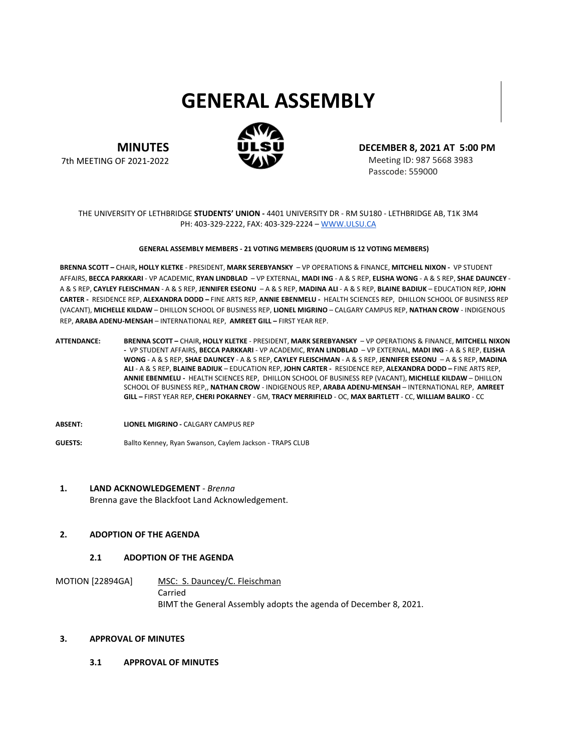# **GENERAL ASSEMBLY**



**MINUTES** 7th MEETING OF 2021-2022 **DECEMBER 8, 2021 AT 5:00 PM**

Meeting ID: 987 5668 3983 Passcode: 559000

## THE UNIVERSITY OF LETHBRIDGE **STUDENTS' UNION -** 4401 UNIVERSITY DR - RM SU180 - LETHBRIDGE AB, T1K 3M4 PH: 403-329-2222, FAX: 403-329-2224 – [WWW.ULSU.CA](http://www.ulsu.ca/)

#### **GENERAL ASSEMBLY MEMBERS - 21 VOTING MEMBERS (QUORUM IS 12 VOTING MEMBERS)**

**BRENNA SCOTT –** CHAIR**, HOLLY KLETKE** - PRESIDENT, **MARK SEREBYANSKY** – VP OPERATIONS & FINANCE, **MITCHELL NIXON -** VP STUDENT AFFAIRS, **BECCA PARKKARI** - VP ACADEMIC, **RYAN LINDBLAD** – VP EXTERNAL, **MADI ING** - A & S REP, **ELISHA WONG** - A & S REP, **SHAE DAUNCEY** - A & S REP, **CAYLEY FLEISCHMAN** - A & S REP, **JENNIFER ESEONU** – A & S REP, **MADINA ALI** - A & S REP, **BLAINE BADIUK** – EDUCATION REP, **JOHN CARTER -** RESIDENCE REP, **ALEXANDRA DODD –** FINE ARTS REP, **ANNIE EBENMELU -** HEALTH SCIENCES REP, DHILLON SCHOOL OF BUSINESS REP (VACANT), **MICHELLE KILDAW** – DHILLON SCHOOL OF BUSINESS REP, **LIONEL MIGRINO** – CALGARY CAMPUS REP, **NATHAN CROW** - INDIGENOUS REP, **ARABA ADENU-MENSAH** – INTERNATIONAL REP, **AMREET GILL –** FIRST YEAR REP.

- **ATTENDANCE: BRENNA SCOTT –** CHAIR**, HOLLY KLETKE**  PRESIDENT, **MARK SEREBYANSKY**  VP OPERATIONS & FINANCE, **MITCHELL NIXON -** VP STUDENT AFFAIRS, **BECCA PARKKARI** - VP ACADEMIC, **RYAN LINDBLAD** – VP EXTERNAL, **MADI ING** - A & S REP, **ELISHA WONG** - A & S REP, **SHAE DAUNCEY** - A & S REP, **CAYLEY FLEISCHMAN** - A & S REP, **JENNIFER ESEONU** – A & S REP, **MADINA ALI** - A & S REP, **BLAINE BADIUK** – EDUCATION REP, **JOHN CARTER -** RESIDENCE REP, **ALEXANDRA DODD –** FINE ARTS REP, **ANNIE EBENMELU -** HEALTH SCIENCES REP, DHILLON SCHOOL OF BUSINESS REP (VACANT), **MICHELLE KILDAW** – DHILLON SCHOOL OF BUSINESS REP,, **NATHAN CROW** - INDIGENOUS REP, **ARABA ADENU-MENSAH** – INTERNATIONAL REP, **AMREET GILL –** FIRST YEAR REP, **CHERI POKARNEY** - GM, **TRACY MERRIFIELD** - OC, **MAX BARTLETT** - CC, **WILLIAM BALIKO** - CC
- **ABSENT: LIONEL MIGRINO -** CALGARY CAMPUS REP
- **GUESTS:** Ballto Kenney, Ryan Swanson, Caylem Jackson TRAPS CLUB

# **1. LAND ACKNOWLEDGEMENT** *- Brenna* Brenna gave the Blackfoot Land Acknowledgement.

# **2. ADOPTION OF THE AGENDA**

## **2.1 ADOPTION OF THE AGENDA**

MOTION [22894GA] MSC: S. Dauncey/C. Fleischman Carried BIMT the General Assembly adopts the agenda of December 8, 2021.

#### **3. APPROVAL OF MINUTES**

**3.1 APPROVAL OF MINUTES**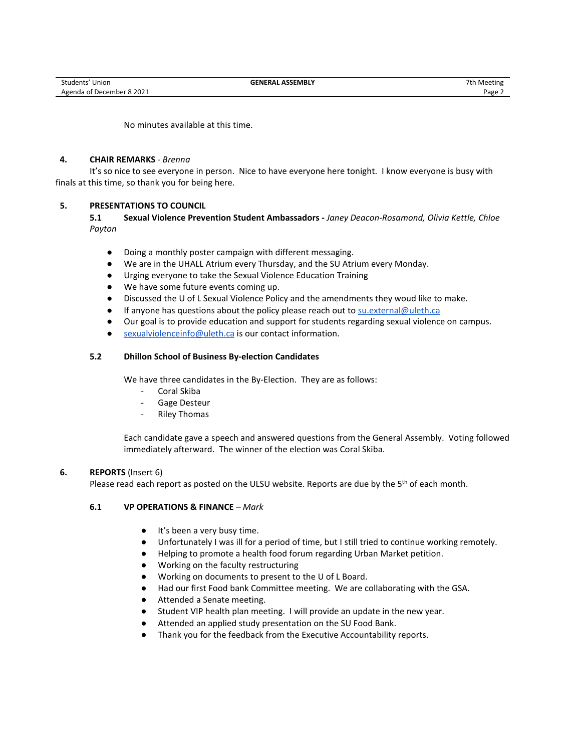No minutes available at this time.

# **4. CHAIR REMARKS** *- Brenna*

It's so nice to see everyone in person. Nice to have everyone here tonight. I know everyone is busy with finals at this time, so thank you for being here.

# **5. PRESENTATIONS TO COUNCIL**

**5.1 Sexual Violence Prevention Student Ambassadors -** *Janey Deacon-Rosamond, Olivia Kettle, Chloe Payton*

- Doing a monthly poster campaign with different messaging.
- We are in the UHALL Atrium every Thursday, and the SU Atrium every Monday.
- Urging everyone to take the Sexual Violence Education Training
- We have some future events coming up.
- Discussed the U of L Sexual Violence Policy and the amendments they woud like to make.
- If anyone has questions about the policy please reach out t[o su.external@uleth.ca](mailto:su.external@uleth.ca)
- Our goal is to provide education and support for students regarding sexual violence on campus.
- [sexualviolenceinfo@uleth.ca](mailto:sexualviolenceinfo@uleth.ca) is our contact information.

# **5.2 Dhillon School of Business By-election Candidates**

We have three candidates in the By-Election. They are as follows:

- Coral Skiba
- Gage Desteur
- **Riley Thomas**

Each candidate gave a speech and answered questions from the General Assembly. Voting followed immediately afterward. The winner of the election was Coral Skiba.

## **6. REPORTS** (Insert 6)

Please read each report as posted on the ULSU website. Reports are due by the 5<sup>th</sup> of each month.

# **6.1 VP OPERATIONS & FINANCE** *– Mark*

- It's been a very busy time.
- Unfortunately I was ill for a period of time, but I still tried to continue working remotely.
- Helping to promote a health food forum regarding Urban Market petition.
- Working on the faculty restructuring
- Working on documents to present to the U of L Board.
- Had our first Food bank Committee meeting. We are collaborating with the GSA.
- Attended a Senate meeting.
- Student VIP health plan meeting. I will provide an update in the new year.
- Attended an applied study presentation on the SU Food Bank.
- Thank you for the feedback from the Executive Accountability reports.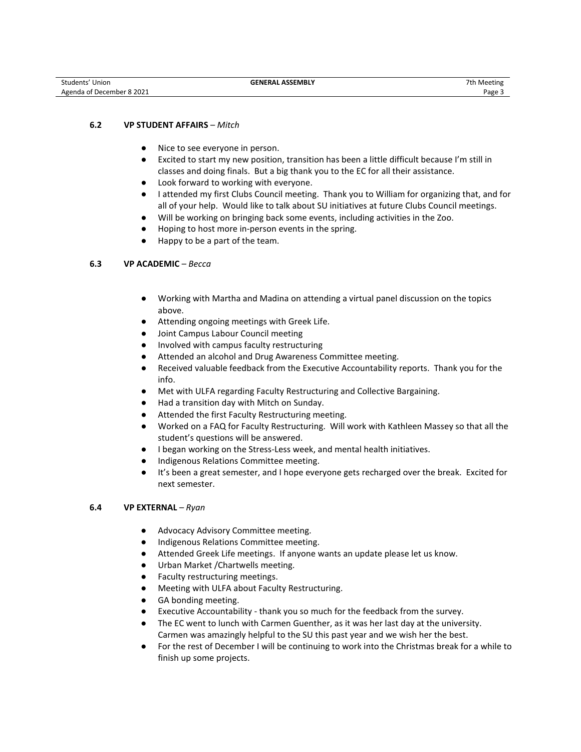# **6.2 VP STUDENT AFFAIRS** *– Mitch*

- Nice to see everyone in person.
- Excited to start my new position, transition has been a little difficult because I'm still in classes and doing finals. But a big thank you to the EC for all their assistance.
- Look forward to working with everyone.
- I attended my first Clubs Council meeting. Thank you to William for organizing that, and for all of your help. Would like to talk about SU initiatives at future Clubs Council meetings.
- Will be working on bringing back some events, including activities in the Zoo.
- Hoping to host more in-person events in the spring.
- Happy to be a part of the team.

# **6.3 VP ACADEMIC** *– Becca*

- Working with Martha and Madina on attending a virtual panel discussion on the topics above.
- Attending ongoing meetings with Greek Life.
- Joint Campus Labour Council meeting
- Involved with campus faculty restructuring
- Attended an alcohol and Drug Awareness Committee meeting.
- Received valuable feedback from the Executive Accountability reports. Thank you for the info.
- Met with ULFA regarding Faculty Restructuring and Collective Bargaining.
- Had a transition day with Mitch on Sunday.
- Attended the first Faculty Restructuring meeting.
- Worked on a FAQ for Faculty Restructuring. Will work with Kathleen Massey so that all the student's questions will be answered.
- I began working on the Stress-Less week, and mental health initiatives.
- Indigenous Relations Committee meeting.
- It's been a great semester, and I hope everyone gets recharged over the break. Excited for next semester.

# **6.4 VP EXTERNAL** *– Ryan*

- Advocacy Advisory Committee meeting.
- Indigenous Relations Committee meeting.
- Attended Greek Life meetings. If anyone wants an update please let us know.
- Urban Market / Chartwells meeting.
- Faculty restructuring meetings.
- Meeting with ULFA about Faculty Restructuring.
- GA bonding meeting.
- Executive Accountability thank you so much for the feedback from the survey.
- The EC went to lunch with Carmen Guenther, as it was her last day at the university. Carmen was amazingly helpful to the SU this past year and we wish her the best.
- For the rest of December I will be continuing to work into the Christmas break for a while to finish up some projects.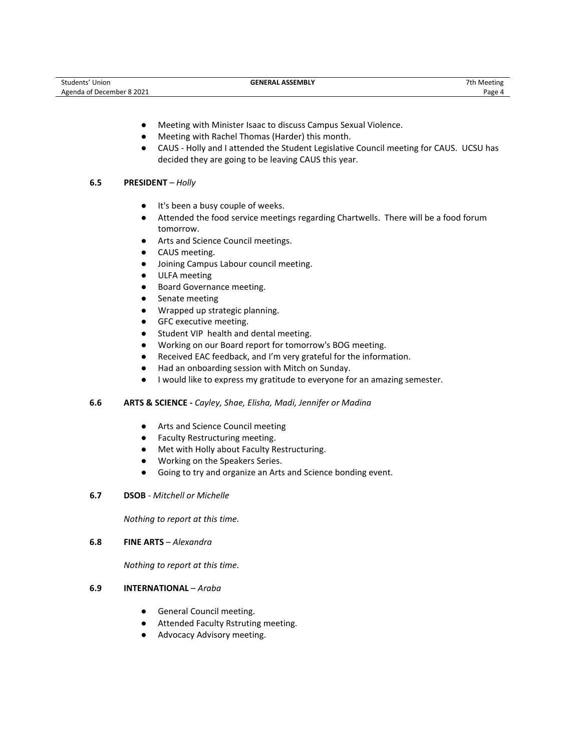| Students' Union           | <b>GENERAL ASSEMBLY</b> | 7th Meeting |
|---------------------------|-------------------------|-------------|
| Agenda of December 8 2021 |                         | Page 4      |

- Meeting with Minister Isaac to discuss Campus Sexual Violence.
- Meeting with Rachel Thomas (Harder) this month.
- CAUS Holly and I attended the Student Legislative Council meeting for CAUS. UCSU has decided they are going to be leaving CAUS this year.

# **6.5 PRESIDENT** *– Holly*

- It's been a busy couple of weeks.
- Attended the food service meetings regarding Chartwells. There will be a food forum tomorrow.
- Arts and Science Council meetings.
- CAUS meeting.
- Joining Campus Labour council meeting.
- ULFA meeting
- Board Governance meeting.
- Senate meeting
- Wrapped up strategic planning.
- GFC executive meeting.
- Student VIP health and dental meeting.
- Working on our Board report for tomorrow's BOG meeting.
- Received EAC feedback, and I'm very grateful for the information.
- Had an onboarding session with Mitch on Sunday.
- I would like to express my gratitude to everyone for an amazing semester.

## **6.6 ARTS & SCIENCE -** *Cayley, Shae, Elisha, Madi, Jennifer or Madina*

- Arts and Science Council meeting
- Faculty Restructuring meeting.
- Met with Holly about Faculty Restructuring.
- Working on the Speakers Series.
- Going to try and organize an Arts and Science bonding event.
- **6.7 DSOB** *Mitchell or Michelle*

*Nothing to report at this time.*

**6.8 FINE ARTS** – *Alexandra*

*Nothing to report at this time.*

## **6.9 INTERNATIONAL** – *Araba*

- General Council meeting.
- Attended Faculty Rstruting meeting.
- Advocacy Advisory meeting.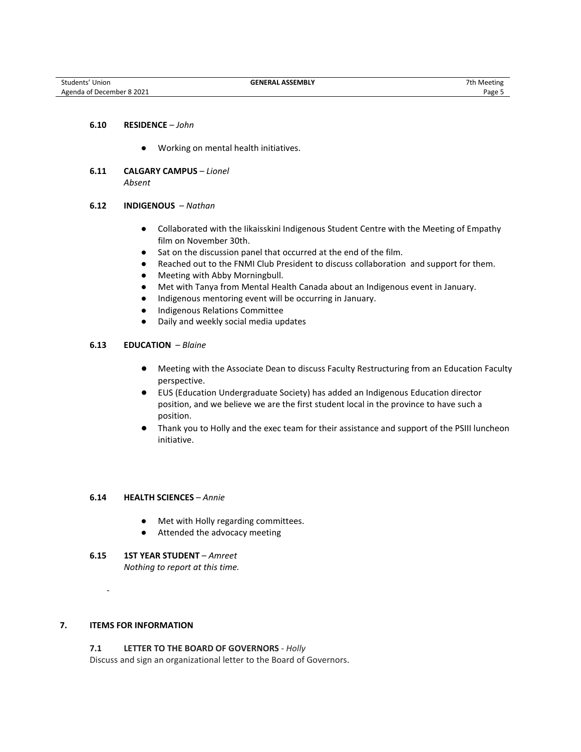# **6.10 RESIDENCE** – *John*

- Working on mental health initiatives.
- **6.11 CALGARY CAMPUS** *Lionel Absent*

#### **6.12 INDIGENOUS** – *Nathan*

- Collaborated with the Iikaisskini Indigenous Student Centre with the Meeting of Empathy film on November 30th.
- Sat on the discussion panel that occurred at the end of the film.
- Reached out to the FNMI Club President to discuss collaboration and support for them.
- Meeting with Abby Morningbull.
- Met with Tanya from Mental Health Canada about an Indigenous event in January.
- Indigenous mentoring event will be occurring in January.
- Indigenous Relations Committee
- Daily and weekly social media updates

# **6.13 EDUCATION** – *Blaine*

- Meeting with the Associate Dean to discuss Faculty Restructuring from an Education Faculty perspective.
- EUS (Education Undergraduate Society) has added an Indigenous Education director position, and we believe we are the first student local in the province to have such a position.
- Thank you to Holly and the exec team for their assistance and support of the PSIII luncheon initiative.

## **6.14 HEALTH SCIENCES** – *Annie*

- Met with Holly regarding committees.
- Attended the advocacy meeting
- **6.15 1ST YEAR STUDENT** *Amreet Nothing to report at this time.*

# **7. ITEMS FOR INFORMATION**

-

**7.1 LETTER TO THE BOARD OF GOVERNORS** - *Holly* Discuss and sign an organizational letter to the Board of Governors.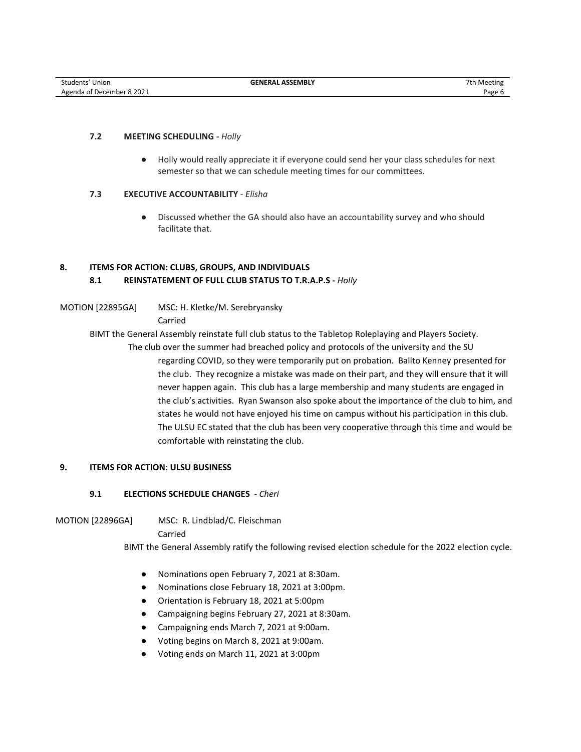# **7.2 MEETING SCHEDULING -** *Holly*

● Holly would really appreciate it if everyone could send her your class schedules for next semester so that we can schedule meeting times for our committees.

# **7.3 EXECUTIVE ACCOUNTABILITY** - *Elisha*

● Discussed whether the GA should also have an accountability survey and who should facilitate that.

# **8. ITEMS FOR ACTION: CLUBS, GROUPS, AND INDIVIDUALS 8.1 REINSTATEMENT OF FULL CLUB STATUS TO T.R.A.P.S -** *Holly*

MOTION [22895GA] MSC: H. Kletke/M. Serebryansky

Carried

BIMT the General Assembly reinstate full club status to the Tabletop Roleplaying and Players Society.

The club over the summer had breached policy and protocols of the university and the SU regarding COVID, so they were temporarily put on probation. Ballto Kenney presented for the club. They recognize a mistake was made on their part, and they will ensure that it will never happen again. This club has a large membership and many students are engaged in the club's activities. Ryan Swanson also spoke about the importance of the club to him, and states he would not have enjoyed his time on campus without his participation in this club. The ULSU EC stated that the club has been very cooperative through this time and would be comfortable with reinstating the club.

# **9. ITEMS FOR ACTION: ULSU BUSINESS**

# **9.1 ELECTIONS SCHEDULE CHANGES** *- Cheri*

MOTION [22896GA] MSC: R. Lindblad/C. Fleischman

Carried

BIMT the General Assembly ratify the following revised election schedule for the 2022 election cycle.

- Nominations open February 7, 2021 at 8:30am.
- Nominations close February 18, 2021 at 3:00pm.
- Orientation is February 18, 2021 at 5:00pm
- Campaigning begins February 27, 2021 at 8:30am.
- Campaigning ends March 7, 2021 at 9:00am.
- Voting begins on March 8, 2021 at 9:00am.
- Voting ends on March 11, 2021 at 3:00pm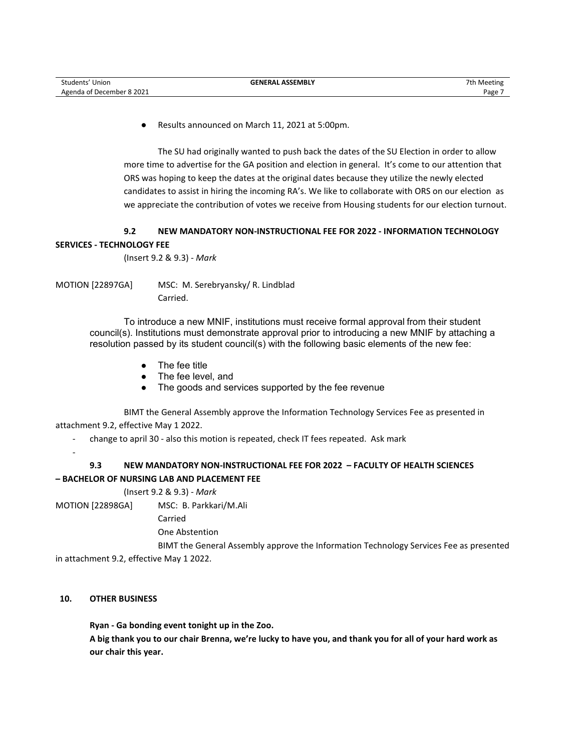● Results announced on March 11, 2021 at 5:00pm.

The SU had originally wanted to push back the dates of the SU Election in order to allow more time to advertise for the GA position and election in general. It's come to our attention that ORS was hoping to keep the dates at the original dates because they utilize the newly elected candidates to assist in hiring the incoming RA's. We like to collaborate with ORS on our election as we appreciate the contribution of votes we receive from Housing students for our election turnout.

# **9.2 NEW MANDATORY NON-INSTRUCTIONAL FEE FOR 2022 - INFORMATION TECHNOLOGY SERVICES - TECHNOLOGY FEE**

(Insert 9.2 & 9.3) - *Mark*

MOTION [22897GA] MSC: M. Serebryansky/ R. Lindblad Carried.

> To introduce a new MNIF, institutions must receive formal approval from their student council(s). Institutions must demonstrate approval prior to introducing a new MNIF by attaching a resolution passed by its student council(s) with the following basic elements of the new fee:

- The fee title
- The fee level, and
- The goods and services supported by the fee revenue

BIMT the General Assembly approve the Information Technology Services Fee as presented in attachment 9.2, effective May 1 2022.

- change to april 30 - also this motion is repeated, check IT fees repeated. Ask mark

-

# **9.3 NEW MANDATORY NON-INSTRUCTIONAL FEE FOR 2022 – FACULTY OF HEALTH SCIENCES – BACHELOR OF NURSING LAB AND PLACEMENT FEE**

# (Insert 9.2 & 9.3) - *Mark*

MOTION [22898GA] MSC: B. Parkkari/M.Ali

Carried

One Abstention

BIMT the General Assembly approve the Information Technology Services Fee as presented in attachment 9.2, effective May 1 2022.

# **10. OTHER BUSINESS**

**Ryan - Ga bonding event tonight up in the Zoo. A big thank you to our chair Brenna, we're lucky to have you, and thank you for all of your hard work as our chair this year.**